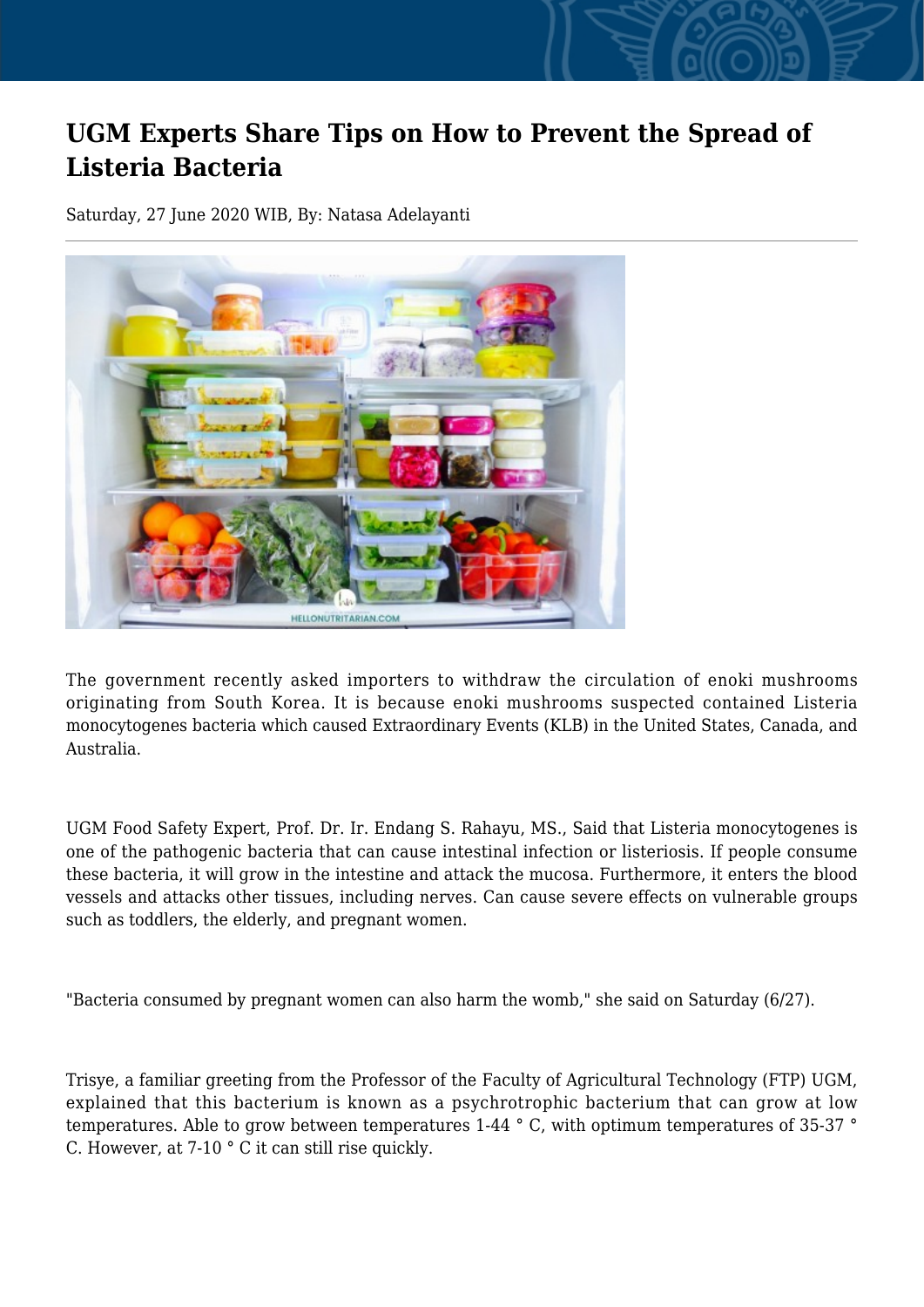## **UGM Experts Share Tips on How to Prevent the Spread of Listeria Bacteria**

Saturday, 27 June 2020 WIB, By: Natasa Adelayanti



The government recently asked importers to withdraw the circulation of enoki mushrooms originating from South Korea. It is because enoki mushrooms suspected contained Listeria monocytogenes bacteria which caused Extraordinary Events (KLB) in the United States, Canada, and Australia.

UGM Food Safety Expert, Prof. Dr. Ir. Endang S. Rahayu, MS., Said that Listeria monocytogenes is one of the pathogenic bacteria that can cause intestinal infection or listeriosis. If people consume these bacteria, it will grow in the intestine and attack the mucosa. Furthermore, it enters the blood vessels and attacks other tissues, including nerves. Can cause severe effects on vulnerable groups such as toddlers, the elderly, and pregnant women.

"Bacteria consumed by pregnant women can also harm the womb," she said on Saturday (6/27).

Trisye, a familiar greeting from the Professor of the Faculty of Agricultural Technology (FTP) UGM, explained that this bacterium is known as a psychrotrophic bacterium that can grow at low temperatures. Able to grow between temperatures 1-44 ° C, with optimum temperatures of 35-37 ° C. However, at 7-10 ° C it can still rise quickly.